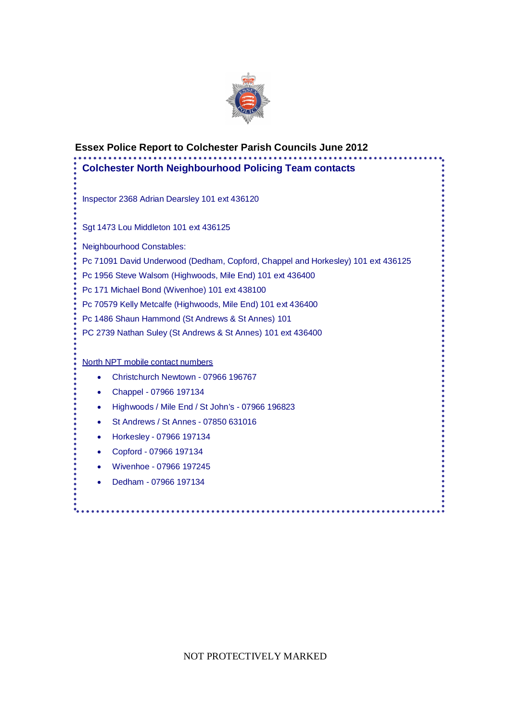

| <b>Colchester North Neighbourhood Policing Team contacts</b> |                                                                                                                                               |
|--------------------------------------------------------------|-----------------------------------------------------------------------------------------------------------------------------------------------|
|                                                              | Inspector 2368 Adrian Dearsley 101 ext 436120                                                                                                 |
|                                                              | Sgt 1473 Lou Middleton 101 ext 436125                                                                                                         |
|                                                              | <b>Neighbourhood Constables:</b>                                                                                                              |
|                                                              | Pc 71091 David Underwood (Dedham, Copford, Chappel and Horkesley) 101 ext 436125<br>Pc 1956 Steve Walsom (Highwoods, Mile End) 101 ext 436400 |
|                                                              | Pc 171 Michael Bond (Wivenhoe) 101 ext 438100                                                                                                 |
|                                                              | Pc 70579 Kelly Metcalfe (Highwoods, Mile End) 101 ext 436400                                                                                  |
|                                                              | Pc 1486 Shaun Hammond (St Andrews & St Annes) 101                                                                                             |
|                                                              | PC 2739 Nathan Suley (St Andrews & St Annes) 101 ext 436400                                                                                   |
|                                                              | North NPT mobile contact numbers                                                                                                              |
| $\bullet$                                                    | Christchurch Newtown - 07966 196767                                                                                                           |
| $\bullet$                                                    | Chappel - 07966 197134                                                                                                                        |
| $\bullet$                                                    | Highwoods / Mile End / St John's - 07966 196823                                                                                               |
| $\bullet$                                                    | St Andrews / St Annes - 07850 631016                                                                                                          |
| ٠                                                            | Horkesley - 07966 197134                                                                                                                      |
| ٠                                                            | Copford - 07966 197134                                                                                                                        |
|                                                              | Wivenhoe - 07966 197245                                                                                                                       |
| $\bullet$                                                    |                                                                                                                                               |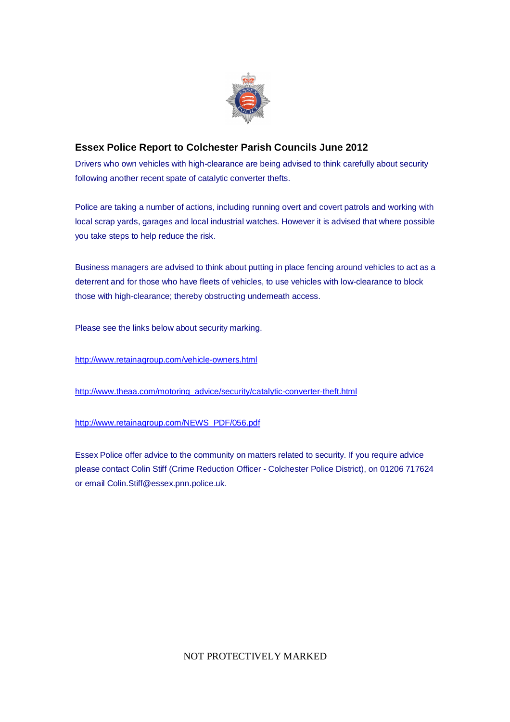

### **Essex Police Report to Colchester Parish Councils June 2012**

Drivers who own vehicles with high-clearance are being advised to think carefully about security following another recent spate of catalytic converter thefts.

Police are taking a number of actions, including running overt and covert patrols and working with local scrap yards, garages and local industrial watches. However it is advised that where possible you take steps to help reduce the risk.

Business managers are advised to think about putting in place fencing around vehicles to act as a deterrent and for those who have fleets of vehicles, to use vehicles with low-clearance to block those with high-clearance; thereby obstructing underneath access.

Please see the links below about security marking.

http://www.retainagroup.com/vehicle-owners.html

http://www.theaa.com/motoring\_advice/security/catalytic-converter-theft.html

http://www.retainagroup.com/NEWS\_PDF/056.pdf

Essex Police offer advice to the community on matters related to security. If you require advice please contact Colin Stiff (Crime Reduction Officer - Colchester Police District), on 01206 717624 or email Colin.Stiff@essex.pnn.police.uk.

NOT PROTECTIVELY MARKED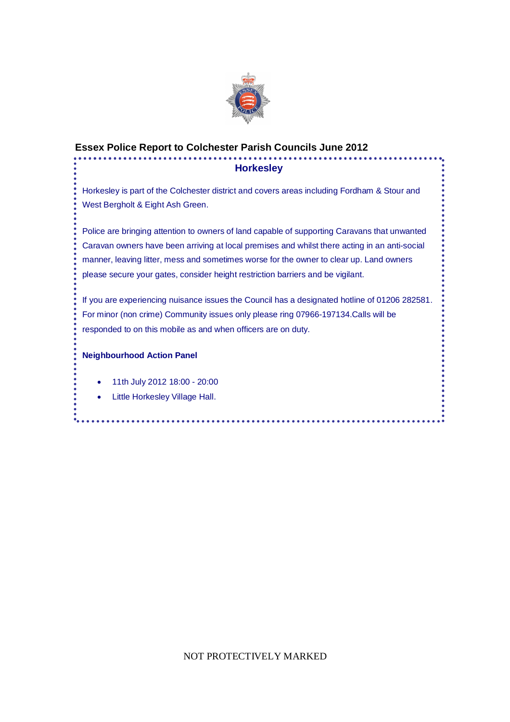

# **Essex Police Report to Colchester Parish Councils June 2012**

#### **Horkesley**

Horkesley is part of the Colchester district and covers areas including Fordham & Stour and West Bergholt & Eight Ash Green.

Police are bringing attention to owners of land capable of supporting Caravans that unwanted Caravan owners have been arriving at local premises and whilst there acting in an anti-social manner, leaving litter, mess and sometimes worse for the owner to clear up. Land owners please secure your gates, consider height restriction barriers and be vigilant.

If you are experiencing nuisance issues the Council has a designated hotline of 01206 282581. For minor (non crime) Community issues only please ring 07966-197134.Calls will be responded to on this mobile as and when officers are on duty.

...........

#### **Neighbourhood Action Panel**

- 11th July 2012 18:00 20:00
- Little Horkesley Village Hall.

NOT PROTECTIVELY MARKED